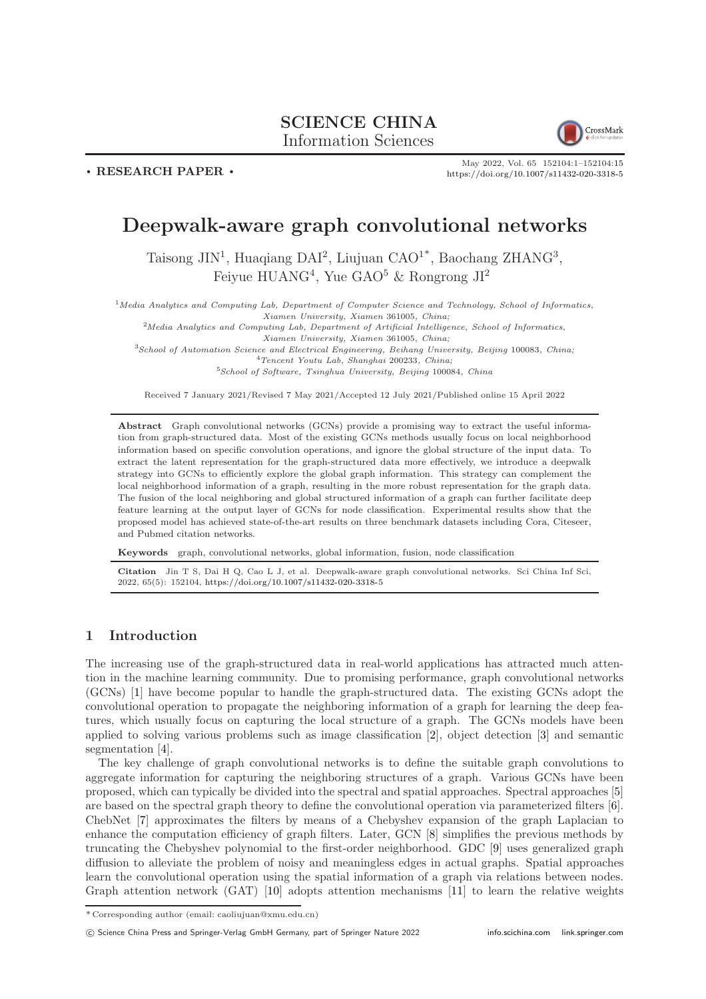# SCIENCE CHINA

Information Sciences



May 2022, Vol. 65 152104:1–152104[:15](#page-14-0) <https://doi.org/10.1007/s11432-020-3318-5>

### Deepwalk-aware graph convolutional networks

Taisong JIN<sup>1</sup>, Huaqiang DAI<sup>2</sup>, Liujuan CAO<sup>1\*</sup>, Baochang ZHANG<sup>3</sup>, Feiyue  $HUANG<sup>4</sup>$ , Yue GAO<sup>5</sup> & Rongrong JI<sup>2</sup>

 $<sup>1</sup> Media Analysis and Computing Lab, Department of Computer Science and Technology, School of Informatics,$ </sup> Xiamen University, Xiamen 361005, China;

 $2$ Media Analytics and Computing Lab, Department of Artificial Intelligence, School of Informatics,

Xiamen University, Xiamen 361005, China; <sup>3</sup>School of Automation Science and Electrical Engineering, Beihang University, Beijing 100083, China;  ${}^{4}T$ encent Youtu Lab, Shanghai 200233, China;

<sup>5</sup>School of Software, Tsinghua University, Beijing 100084, China

Received 7 January 2021/Revised 7 May 2021/Accepted 12 July 2021/Published online 15 April 2022

Abstract Graph convolutional networks (GCNs) provide a promising way to extract the useful information from graph-structured data. Most of the existing GCNs methods usually focus on local neighborhood information based on specific convolution operations, and ignore the global structure of the input data. To extract the latent representation for the graph-structured data more effectively, we introduce a deepwalk strategy into GCNs to efficiently explore the global graph information. This strategy can complement the local neighborhood information of a graph, resulting in the more robust representation for the graph data. The fusion of the local neighboring and global structured information of a graph can further facilitate deep feature learning at the output layer of GCNs for node classification. Experimental results show that the proposed model has achieved state-of-the-art results on three benchmark datasets including Cora, Citeseer, and Pubmed citation networks.

Keywords graph, convolutional networks, global information, fusion, node classification

Citation Jin T S, Dai H Q, Cao L J, et al. Deepwalk-aware graph convolutional networks. Sci China Inf Sci, 2022, 65(5): 152104, <https://doi.org/10.1007/s11432-020-3318-5>

### 1 Introduction

. RESEARCH PAPER .

The increasing use of the graph-structured data in real-world applications has attracted much attention in the machine learning community. Due to promising performance, graph convolutional networks (GCNs) [\[1\]](#page-13-0) have become popular to handle the graph-structured data. The existing GCNs adopt the convolutional operation to propagate the neighboring information of a graph for learning the deep features, which usually focus on capturing the local structure of a graph. The GCNs models have been applied to solving various problems such as image classification [\[2\]](#page-13-1), object detection [\[3\]](#page-13-2) and semantic segmentation [\[4\]](#page-13-3).

The key challenge of graph convolutional networks is to define the suitable graph convolutions to aggregate information for capturing the neighboring structures of a graph. Various GCNs have been proposed, which can typically be divided into the spectral and spatial approaches. Spectral approaches [\[5\]](#page-13-4) are based on the spectral graph theory to define the convolutional operation via parameterized filters [\[6\]](#page-13-5). ChebNet [\[7\]](#page-13-6) approximates the filters by means of a Chebyshev expansion of the graph Laplacian to enhance the computation efficiency of graph filters. Later, GCN [\[8\]](#page-13-7) simplifies the previous methods by truncating the Chebyshev polynomial to the first-order neighborhood. GDC [\[9\]](#page-13-8) uses generalized graph diffusion to alleviate the problem of noisy and meaningless edges in actual graphs. Spatial approaches learn the convolutional operation using the spatial information of a graph via relations between nodes. Graph attention network (GAT) [\[10\]](#page-13-9) adopts attention mechanisms [\[11\]](#page-13-10) to learn the relative weights

c Science China Press and Springer-Verlag GmbH Germany, part of Springer Nature 2022 <info.scichina.com><link.springer.com>

<sup>\*</sup> Corresponding author (email: caoliujuan@xmu.edu.cn)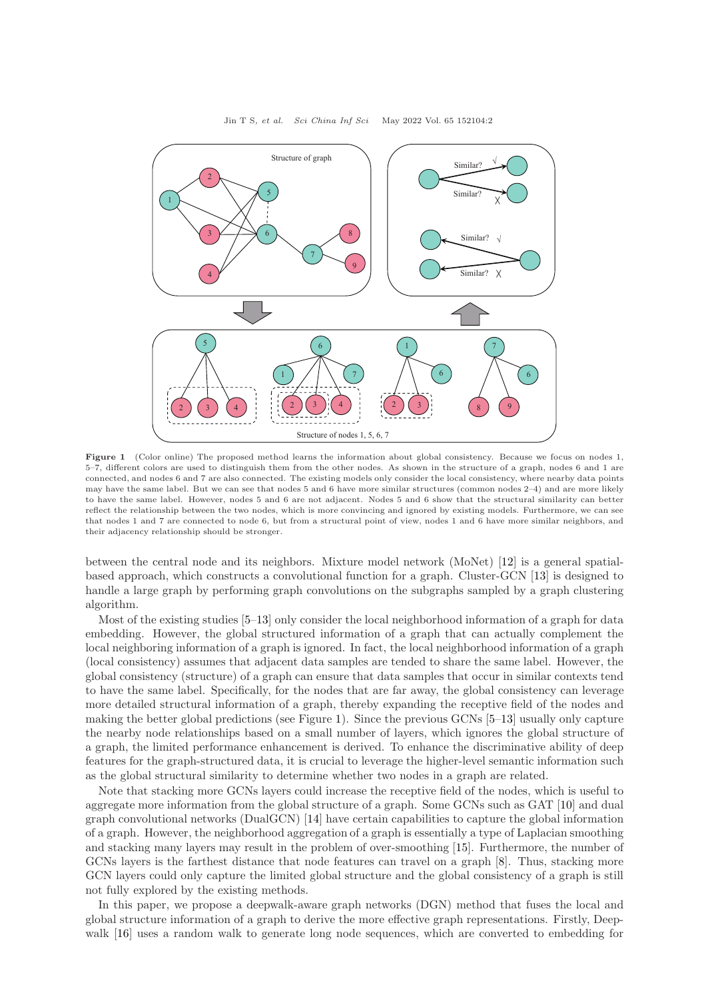<span id="page-1-0"></span>

Figure 1 (Color online) The proposed method learns the information about global consistency. Because we focus on nodes 1, 5–7, different colors are used to distinguish them from the other nodes. As shown in the structure of a graph, nodes 6 and 1 are connected, and nodes 6 and 7 are also connected. The existing models only consider the local consistency, where nearby data points may have the same label. But we can see that nodes 5 and 6 have more similar structures (common nodes 2–4) and are more likely to have the same label. However, nodes 5 and 6 are not adjacent. Nodes 5 and 6 show that the structural similarity can better reflect the relationship between the two nodes, which is more convincing and ignored by existing models. Furthermore, we can see that nodes 1 and 7 are connected to node 6, but from a structural point of view, nodes 1 and 6 have more similar neighbors, and their adjacency relationship should be stronger.

between the central node and its neighbors. Mixture model network (MoNet) [\[12\]](#page-13-11) is a general spatialbased approach, which constructs a convolutional function for a graph. Cluster-GCN [\[13\]](#page-13-12) is designed to handle a large graph by performing graph convolutions on the subgraphs sampled by a graph clustering algorithm.

Most of the existing studies [\[5](#page-13-4)[–13\]](#page-13-12) only consider the local neighborhood information of a graph for data embedding. However, the global structured information of a graph that can actually complement the local neighboring information of a graph is ignored. In fact, the local neighborhood information of a graph (local consistency) assumes that adjacent data samples are tended to share the same label. However, the global consistency (structure) of a graph can ensure that data samples that occur in similar contexts tend to have the same label. Specifically, for the nodes that are far away, the global consistency can leverage more detailed structural information of a graph, thereby expanding the receptive field of the nodes and making the better global predictions (see Figure [1\)](#page-1-0). Since the previous GCNs [\[5](#page-13-4)[–13\]](#page-13-12) usually only capture the nearby node relationships based on a small number of layers, which ignores the global structure of a graph, the limited performance enhancement is derived. To enhance the discriminative ability of deep features for the graph-structured data, it is crucial to leverage the higher-level semantic information such as the global structural similarity to determine whether two nodes in a graph are related.

Note that stacking more GCNs layers could increase the receptive field of the nodes, which is useful to aggregate more information from the global structure of a graph. Some GCNs such as GAT [\[10\]](#page-13-9) and dual graph convolutional networks (DualGCN) [\[14\]](#page-13-13) have certain capabilities to capture the global information of a graph. However, the neighborhood aggregation of a graph is essentially a type of Laplacian smoothing and stacking many layers may result in the problem of over-smoothing [\[15\]](#page-13-14). Furthermore, the number of GCNs layers is the farthest distance that node features can travel on a graph [\[8\]](#page-13-7). Thus, stacking more GCN layers could only capture the limited global structure and the global consistency of a graph is still not fully explored by the existing methods.

In this paper, we propose a deepwalk-aware graph networks (DGN) method that fuses the local and global structure information of a graph to derive the more effective graph representations. Firstly, Deepwalk  $[16]$  uses a random walk to generate long node sequences, which are converted to embedding for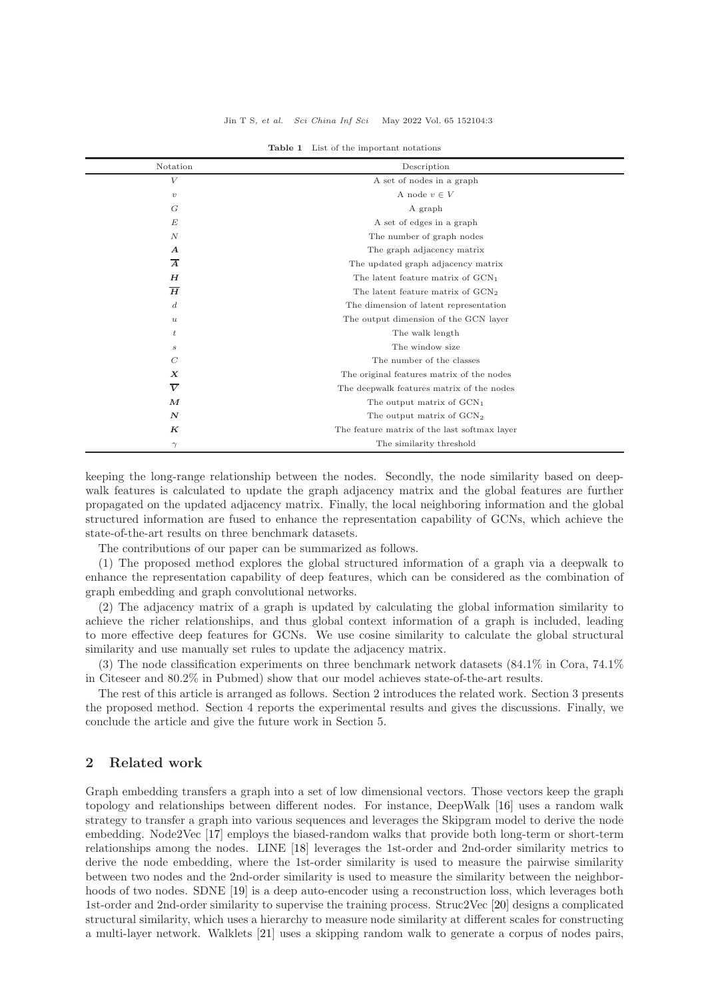<span id="page-2-0"></span>

| Notation         | Description                                  |  |  |
|------------------|----------------------------------------------|--|--|
| V                | A set of nodes in a graph                    |  |  |
| $\upsilon$       | A node $v \in V$                             |  |  |
| G                | A graph                                      |  |  |
| E                | A set of edges in a graph                    |  |  |
| $\boldsymbol{N}$ | The number of graph nodes                    |  |  |
| $\boldsymbol{A}$ | The graph adjacency matrix                   |  |  |
| $\overline{A}$   | The updated graph adjacency matrix           |  |  |
| H                | The latent feature matrix of $GCN1$          |  |  |
| $\overline{H}$   | The latent feature matrix of $GCN2$          |  |  |
| $\boldsymbol{d}$ | The dimension of latent representation       |  |  |
| $\boldsymbol{u}$ | The output dimension of the GCN layer        |  |  |
| $\boldsymbol{t}$ | The walk length                              |  |  |
| $\boldsymbol{s}$ | The window size                              |  |  |
| $\mathcal{C}$    | The number of the classes                    |  |  |
| $\boldsymbol{X}$ | The original features matrix of the nodes    |  |  |
| $\overline{V}$   | The deepwalk features matrix of the nodes    |  |  |
| $\boldsymbol{M}$ | The output matrix of $GCN1$                  |  |  |
| $\boldsymbol{N}$ | The output matrix of $GCN2$                  |  |  |
| $_{K}$           | The feature matrix of the last softmax layer |  |  |
| $\gamma$         | The similarity threshold                     |  |  |

Table 1 List of the important notations

keeping the long-range relationship between the nodes. Secondly, the node similarity based on deepwalk features is calculated to update the graph adjacency matrix and the global features are further propagated on the updated adjacency matrix. Finally, the local neighboring information and the global structured information are fused to enhance the representation capability of GCNs, which achieve the state-of-the-art results on three benchmark datasets.

The contributions of our paper can be summarized as follows.

(1) The proposed method explores the global structured information of a graph via a deepwalk to enhance the representation capability of deep features, which can be considered as the combination of graph embedding and graph convolutional networks.

(2) The adjacency matrix of a graph is updated by calculating the global information similarity to achieve the richer relationships, and thus global context information of a graph is included, leading to more effective deep features for GCNs. We use cosine similarity to calculate the global structural similarity and use manually set rules to update the adjacency matrix.

(3) The node classification experiments on three benchmark network datasets (84.1% in Cora, 74.1% in Citeseer and 80.2% in Pubmed) show that our model achieves state-of-the-art results.

The rest of this article is arranged as follows. Section 2 introduces the related work. Section 3 presents the proposed method. Section 4 reports the experimental results and gives the discussions. Finally, we conclude the article and give the future work in Section 5.

#### 2 Related work

Graph embedding transfers a graph into a set of low dimensional vectors. Those vectors keep the graph topology and relationships between different nodes. For instance, DeepWalk [\[16\]](#page-13-15) uses a random walk strategy to transfer a graph into various sequences and leverages the Skipgram model to derive the node embedding. Node2Vec [\[17\]](#page-13-16) employs the biased-random walks that provide both long-term or short-term relationships among the nodes. LINE [\[18\]](#page-13-17) leverages the 1st-order and 2nd-order similarity metrics to derive the node embedding, where the 1st-order similarity is used to measure the pairwise similarity between two nodes and the 2nd-order similarity is used to measure the similarity between the neighbor-hoods of two nodes. SDNE [\[19\]](#page-13-18) is a deep auto-encoder using a reconstruction loss, which leverages both 1st-order and 2nd-order similarity to supervise the training process. Struc2Vec [\[20\]](#page-13-19) designs a complicated structural similarity, which uses a hierarchy to measure node similarity at different scales for constructing a multi-layer network. Walklets [\[21\]](#page-13-20) uses a skipping random walk to generate a corpus of nodes pairs,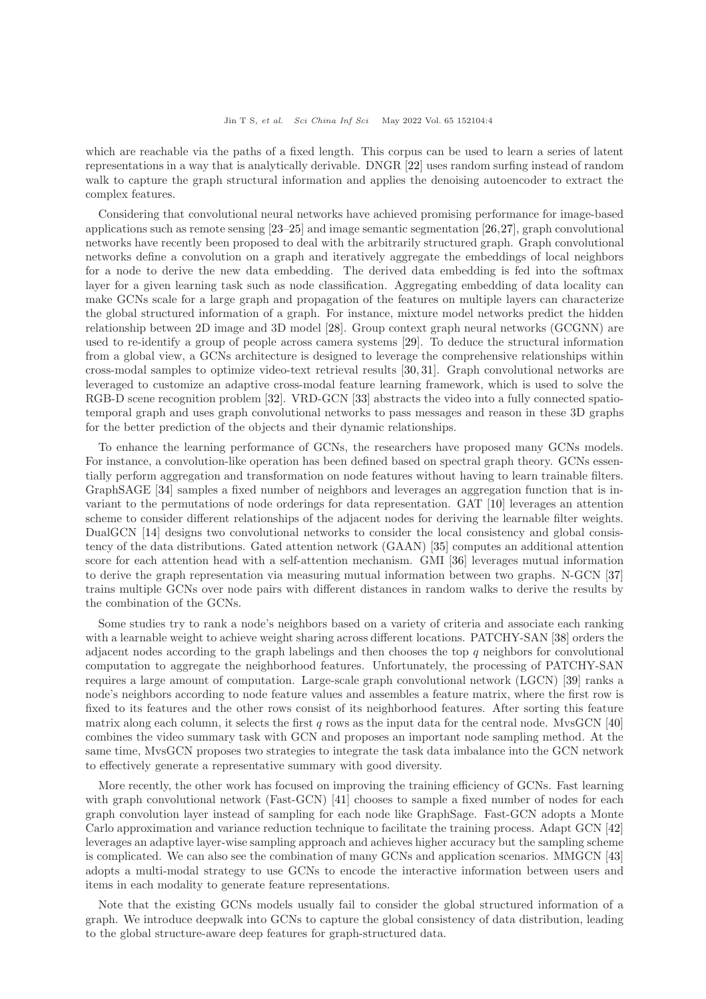which are reachable via the paths of a fixed length. This corpus can be used to learn a series of latent representations in a way that is analytically derivable. DNGR [\[22\]](#page-13-21) uses random surfing instead of random walk to capture the graph structural information and applies the denoising autoencoder to extract the complex features.

Considering that convolutional neural networks have achieved promising performance for image-based applications such as remote sensing [\[23–](#page-13-22)[25\]](#page-14-1) and image semantic segmentation [\[26,](#page-14-2)[27\]](#page-14-3), graph convolutional networks have recently been proposed to deal with the arbitrarily structured graph. Graph convolutional networks define a convolution on a graph and iteratively aggregate the embeddings of local neighbors for a node to derive the new data embedding. The derived data embedding is fed into the softmax layer for a given learning task such as node classification. Aggregating embedding of data locality can make GCNs scale for a large graph and propagation of the features on multiple layers can characterize the global structured information of a graph. For instance, mixture model networks predict the hidden relationship between 2D image and 3D model [\[28\]](#page-14-4). Group context graph neural networks (GCGNN) are used to re-identify a group of people across camera systems [\[29\]](#page-14-5). To deduce the structural information from a global view, a GCNs architecture is designed to leverage the comprehensive relationships within cross-modal samples to optimize video-text retrieval results [\[30,](#page-14-6) [31\]](#page-14-7). Graph convolutional networks are leveraged to customize an adaptive cross-modal feature learning framework, which is used to solve the RGB-D scene recognition problem [\[32\]](#page-14-8). VRD-GCN [\[33\]](#page-14-9) abstracts the video into a fully connected spatiotemporal graph and uses graph convolutional networks to pass messages and reason in these 3D graphs for the better prediction of the objects and their dynamic relationships.

To enhance the learning performance of GCNs, the researchers have proposed many GCNs models. For instance, a convolution-like operation has been defined based on spectral graph theory. GCNs essentially perform aggregation and transformation on node features without having to learn trainable filters. GraphSAGE [\[34\]](#page-14-10) samples a fixed number of neighbors and leverages an aggregation function that is invariant to the permutations of node orderings for data representation. GAT [\[10\]](#page-13-9) leverages an attention scheme to consider different relationships of the adjacent nodes for deriving the learnable filter weights. DualGCN [\[14\]](#page-13-13) designs two convolutional networks to consider the local consistency and global consistency of the data distributions. Gated attention network (GAAN) [\[35\]](#page-14-11) computes an additional attention score for each attention head with a self-attention mechanism. GMI [\[36\]](#page-14-12) leverages mutual information to derive the graph representation via measuring mutual information between two graphs. N-GCN [\[37\]](#page-14-13) trains multiple GCNs over node pairs with different distances in random walks to derive the results by the combination of the GCNs.

Some studies try to rank a node's neighbors based on a variety of criteria and associate each ranking with a learnable weight to achieve weight sharing across different locations. PATCHY-SAN [\[38\]](#page-14-14) orders the adjacent nodes according to the graph labelings and then chooses the top  $q$  neighbors for convolutional computation to aggregate the neighborhood features. Unfortunately, the processing of PATCHY-SAN requires a large amount of computation. Large-scale graph convolutional network (LGCN) [\[39\]](#page-14-15) ranks a node's neighbors according to node feature values and assembles a feature matrix, where the first row is fixed to its features and the other rows consist of its neighborhood features. After sorting this feature matrix along each column, it selects the first q rows as the input data for the central node. MvsGCN  $[40]$ combines the video summary task with GCN and proposes an important node sampling method. At the same time, MvsGCN proposes two strategies to integrate the task data imbalance into the GCN network to effectively generate a representative summary with good diversity.

More recently, the other work has focused on improving the training efficiency of GCNs. Fast learning with graph convolutional network (Fast-GCN) [\[41\]](#page-14-17) chooses to sample a fixed number of nodes for each graph convolution layer instead of sampling for each node like GraphSage. Fast-GCN adopts a Monte Carlo approximation and variance reduction technique to facilitate the training process. Adapt GCN [\[42\]](#page-14-18) leverages an adaptive layer-wise sampling approach and achieves higher accuracy but the sampling scheme is complicated. We can also see the combination of many GCNs and application scenarios. MMGCN [\[43\]](#page-14-19) adopts a multi-modal strategy to use GCNs to encode the interactive information between users and items in each modality to generate feature representations.

Note that the existing GCNs models usually fail to consider the global structured information of a graph. We introduce deepwalk into GCNs to capture the global consistency of data distribution, leading to the global structure-aware deep features for graph-structured data.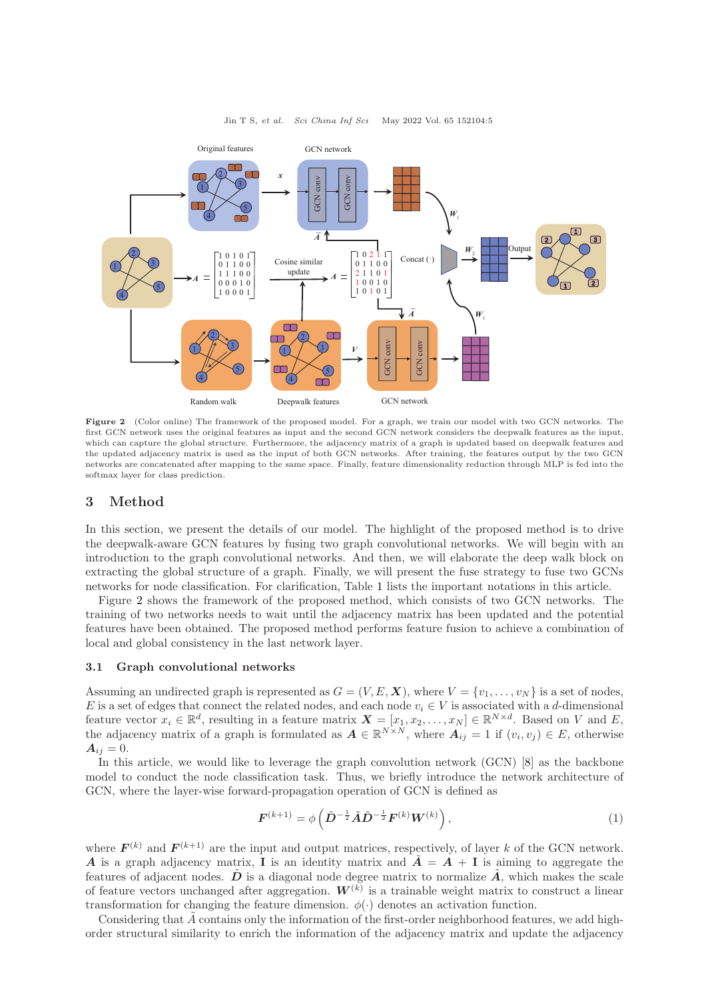<span id="page-4-0"></span>

Figure 2 (Color online) The framework of the proposed model. For a graph, we train our model with two GCN networks. The first GCN network uses the original features as input and the second GCN network considers the deepwalk features as the input, which can capture the global structure. Furthermore, the adjacency matrix of a graph is updated based on deepwalk features and the updated adjacency matrix is used as the input of both GCN networks. After training, the features output by the two GCN networks are concatenated after mapping to the same space. Finally, feature dimensionality reduction through MLP is fed into the softmax layer for class prediction.

#### 3 Method

In this section, we present the details of our model. The highlight of the proposed method is to drive the deepwalk-aware GCN features by fusing two graph convolutional networks. We will begin with an introduction to the graph convolutional networks. And then, we will elaborate the deep walk block on extracting the global structure of a graph. Finally, we will present the fuse strategy to fuse two GCNs networks for node classification. For clarification, Table [1](#page-2-0) lists the important notations in this article.

Figure [2](#page-4-0) shows the framework of the proposed method, which consists of two GCN networks. The training of two networks needs to wait until the adjacency matrix has been updated and the potential features have been obtained. The proposed method performs feature fusion to achieve a combination of local and global consistency in the last network layer.

#### 3.1 Graph convolutional networks

Assuming an undirected graph is represented as  $G = (V, E, \mathbf{X})$ , where  $V = \{v_1, \dots, v_N\}$  is a set of nodes, E is a set of edges that connect the related nodes, and each node  $v_i \in V$  is associated with a d-dimensional feature vector  $x_i \in \mathbb{R}^d$ , resulting in a feature matrix  $\mathbf{X} = [x_1, x_2, \dots, x_N] \in \mathbb{R}^{N \times d}$ . Based on V and E, the adjacency matrix of a graph is formulated as  $A \in \mathbb{R}^{N \times N}$ , where  $A_{ij} = 1$  if  $(v_i, v_j) \in E$ , otherwise  $A_{ij} = 0.$ 

In this article, we would like to leverage the graph convolution network (GCN) [\[8\]](#page-13-7) as the backbone model to conduct the node classification task. Thus, we briefly introduce the network architecture of GCN, where the layer-wise forward-propagation operation of GCN is defined as

$$
\boldsymbol{F}^{(k+1)} = \phi\left(\tilde{\boldsymbol{D}}^{-\frac{1}{2}}\tilde{\boldsymbol{A}}\tilde{\boldsymbol{D}}^{-\frac{1}{2}}\boldsymbol{F}^{(k)}\boldsymbol{W}^{(k)}\right),\tag{1}
$$

where  $F^{(k)}$  and  $F^{(k+1)}$  are the input and output matrices, respectively, of layer k of the GCN network. A is a graph adjacency matrix, I is an identity matrix and  $\tilde{A} = A + I$  is aiming to aggregate the features of adjacent nodes.  $\tilde{D}$  is a diagonal node degree matrix to normalize  $\tilde{A}$ , which makes the scale of feature vectors unchanged after aggregation.  $W^{(k)}$  is a trainable weight matrix to construct a linear transformation for changing the feature dimension.  $\phi(\cdot)$  denotes an activation function.

Considering that A contains only the information of the first-order neighborhood features, we add highorder structural similarity to enrich the information of the adjacency matrix and update the adjacency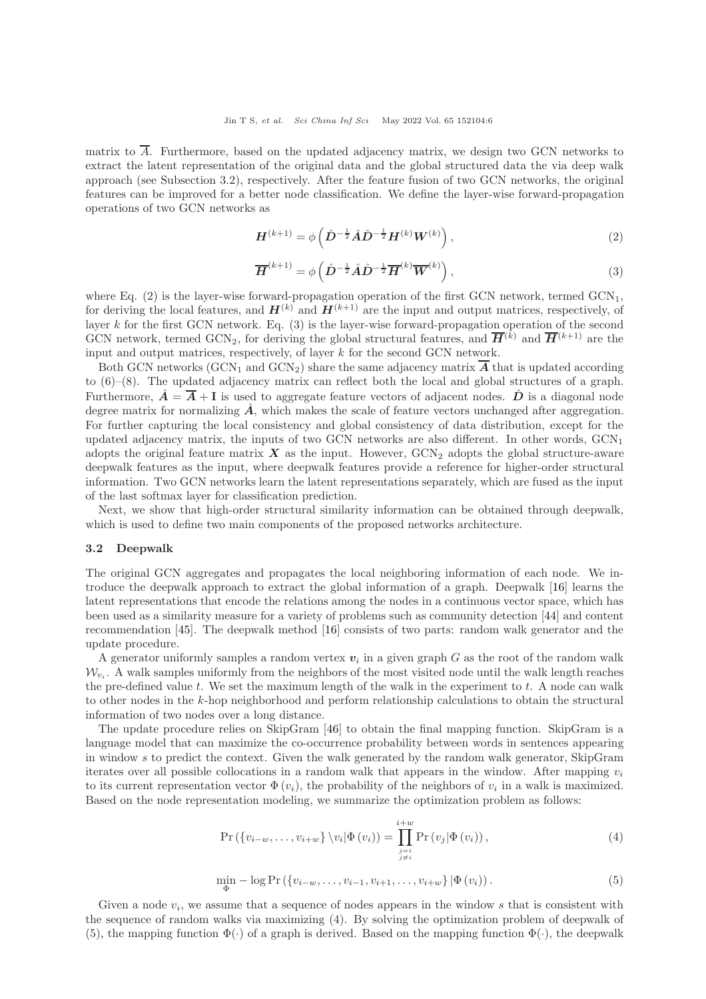matrix to  $\overline{A}$ . Furthermore, based on the updated adjacency matrix, we design two GCN networks to extract the latent representation of the original data and the global structured data the via deep walk approach (see Subsection 3.2), respectively. After the feature fusion of two GCN networks, the original features can be improved for a better node classification. We define the layer-wise forward-propagation operations of two GCN networks as

$$
H^{(k+1)} = \phi\left(\hat{D}^{-\frac{1}{2}}\hat{A}\hat{D}^{-\frac{1}{2}}H^{(k)}W^{(k)}\right),\tag{2}
$$

$$
\overline{H}^{(k+1)} = \phi\left(\hat{D}^{-\frac{1}{2}}\hat{A}\hat{D}^{-\frac{1}{2}}\overline{H}^{(k)}\overline{W}^{(k)}\right),\tag{3}
$$

where Eq. (2) is the layer-wise forward-propagation operation of the first GCN network, termed  $GCN<sub>1</sub>$ , for deriving the local features, and  $\mathbf{H}^{(k)}$  and  $\mathbf{H}^{(k+1)}$  are the input and output matrices, respectively, of layer  $k$  for the first GCN network. Eq. (3) is the layer-wise forward-propagation operation of the second GCN network, termed GCN<sub>2</sub>, for deriving the global structural features, and  $\overline{H}^{(k)}$  and  $\overline{H}^{(k+1)}$  are the input and output matrices, respectively, of layer k for the second GCN network.

Both GCN networks (GCN<sub>1</sub> and GCN<sub>2</sub>) share the same adjacency matrix  $\overline{A}$  that is updated according to (6)–(8). The updated adjacency matrix can reflect both the local and global structures of a graph. Furthermore,  $\hat{A} = \overline{A} + I$  is used to aggregate feature vectors of adjacent nodes.  $\hat{D}$  is a diagonal node degree matrix for normalizing  $\hat{A}$ , which makes the scale of feature vectors unchanged after aggregation. For further capturing the local consistency and global consistency of data distribution, except for the updated adjacency matrix, the inputs of two GCN networks are also different. In other words,  $\text{GCN}_1$ adopts the original feature matrix  $\boldsymbol{X}$  as the input. However,  $\text{GCN}_2$  adopts the global structure-aware deepwalk features as the input, where deepwalk features provide a reference for higher-order structural information. Two GCN networks learn the latent representations separately, which are fused as the input of the last softmax layer for classification prediction.

Next, we show that high-order structural similarity information can be obtained through deepwalk, which is used to define two main components of the proposed networks architecture.

#### 3.2 Deepwalk

The original GCN aggregates and propagates the local neighboring information of each node. We introduce the deepwalk approach to extract the global information of a graph. Deepwalk [\[16\]](#page-13-15) learns the latent representations that encode the relations among the nodes in a continuous vector space, which has been used as a similarity measure for a variety of problems such as community detection [\[44\]](#page-14-20) and content recommendation [\[45\]](#page-14-21). The deepwalk method [\[16\]](#page-13-15) consists of two parts: random walk generator and the update procedure.

A generator uniformly samples a random vertex  $v_i$  in a given graph G as the root of the random walk  $\mathcal{W}_{v_i}$ . A walk samples uniformly from the neighbors of the most visited node until the walk length reaches the pre-defined value  $t$ . We set the maximum length of the walk in the experiment to  $t$ . A node can walk to other nodes in the k-hop neighborhood and perform relationship calculations to obtain the structural information of two nodes over a long distance.

The update procedure relies on SkipGram [\[46\]](#page-14-22) to obtain the final mapping function. SkipGram is a language model that can maximize the co-occurrence probability between words in sentences appearing in window s to predict the context. Given the walk generated by the random walk generator, SkipGram iterates over all possible collocations in a random walk that appears in the window. After mapping  $v_i$ to its current representation vector  $\Phi(v_i)$ , the probability of the neighbors of  $v_i$  in a walk is maximized. Based on the node representation modeling, we summarize the optimization problem as follows:

$$
\Pr\left(\{v_{i-w},\ldots,v_{i+w}\}\setminus v_i|\Phi\left(v_i\right)\right) = \prod_{\substack{j=i\\j\neq i}}^{i+w} \Pr\left(v_j|\Phi\left(v_i\right)\right),\tag{4}
$$

$$
\min_{\Phi} -\log \Pr\left( \{v_{i-w}, \dots, v_{i-1}, v_{i+1}, \dots, v_{i+w} \} | \Phi(v_i) \right). \tag{5}
$$

Given a node  $v_i$ , we assume that a sequence of nodes appears in the window s that is consistent with the sequence of random walks via maximizing (4). By solving the optimization problem of deepwalk of (5), the mapping function  $\Phi(\cdot)$  of a graph is derived. Based on the mapping function  $\Phi(\cdot)$ , the deepwalk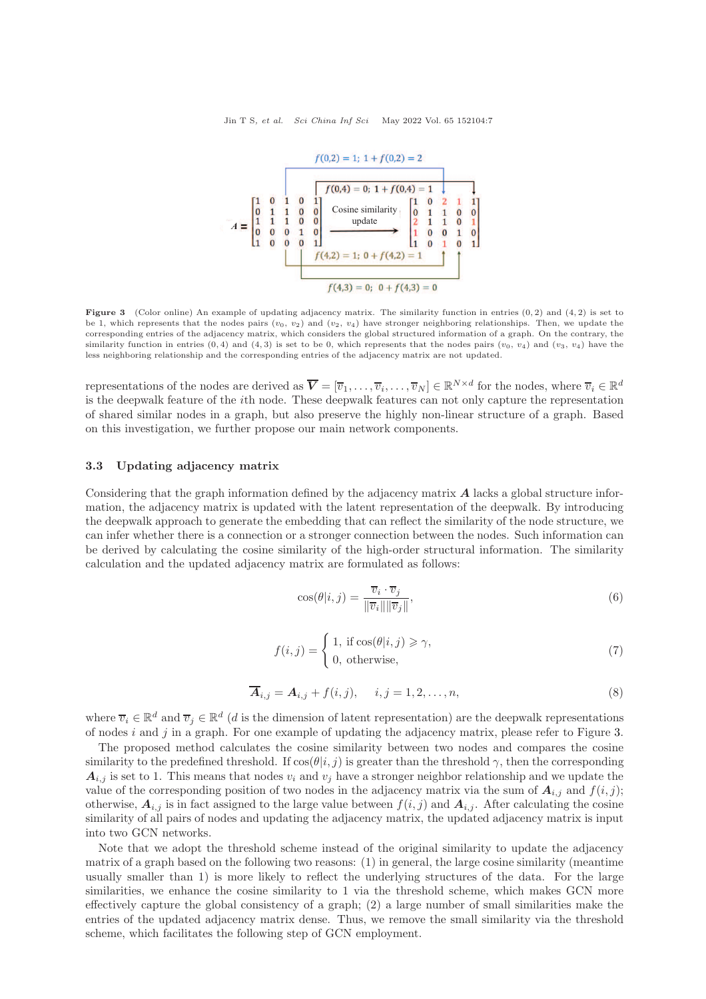<span id="page-6-0"></span>

**Figure 3** (Color online) An example of updating adjacency matrix. The similarity function in entries  $(0, 2)$  and  $(4, 2)$  is set to be 1, which represents that the nodes pairs  $(v_0, v_2)$  and  $(v_2, v_4)$  have stronger neighboring relationships. Then, we update the corresponding entries of the adjacency matrix, which considers the global structured information of a graph. On the contrary, the similarity function in entries  $(0, 4)$  and  $(4, 3)$  is set to be 0, which represents that the nodes pairs  $(v_0, v_4)$  and  $(v_3, v_4)$  have the less neighboring relationship and the corresponding entries of the adjacency matrix are not updated.

representations of the nodes are derived as  $\overline{V} = [\overline{v}_1, \ldots, \overline{v}_i, \ldots, \overline{v}_N] \in \mathbb{R}^{N \times d}$  for the nodes, where  $\overline{v}_i \in \mathbb{R}^d$ is the deepwalk feature of the ith node. These deepwalk features can not only capture the representation of shared similar nodes in a graph, but also preserve the highly non-linear structure of a graph. Based on this investigation, we further propose our main network components.

#### 3.3 Updating adjacency matrix

Considering that the graph information defined by the adjacency matrix A lacks a global structure information, the adjacency matrix is updated with the latent representation of the deepwalk. By introducing the deepwalk approach to generate the embedding that can reflect the similarity of the node structure, we can infer whether there is a connection or a stronger connection between the nodes. Such information can be derived by calculating the cosine similarity of the high-order structural information. The similarity calculation and the updated adjacency matrix are formulated as follows:

$$
\cos(\theta|i,j) = \frac{\overline{v}_i \cdot \overline{v}_j}{\|\overline{v}_i\| \|\overline{v}_j\|},\tag{6}
$$

$$
f(i,j) = \begin{cases} 1, & \text{if } \cos(\theta|i,j) \ge \gamma, \\ 0, & \text{otherwise,} \end{cases}
$$
 (7)

$$
\overline{A}_{i,j} = A_{i,j} + f(i,j), \quad i,j = 1,2,\ldots,n,
$$
\n(8)

where  $\overline{v}_i \in \mathbb{R}^d$  and  $\overline{v}_j \in \mathbb{R}^d$  (*d* is the dimension of latent representation) are the deepwalk representations of nodes i and j in a graph. For one example of updating the adjacency matrix, please refer to Figure [3.](#page-6-0)

The proposed method calculates the cosine similarity between two nodes and compares the cosine similarity to the predefined threshold. If  $\cos(\theta|i, j)$  is greater than the threshold  $\gamma$ , then the corresponding  $A_{i,j}$  is set to 1. This means that nodes  $v_i$  and  $v_j$  have a stronger neighbor relationship and we update the value of the corresponding position of two nodes in the adjacency matrix via the sum of  $A_{i,j}$  and  $f(i, j)$ ; otherwise,  $A_{i,j}$  is in fact assigned to the large value between  $f(i, j)$  and  $A_{i,j}$ . After calculating the cosine similarity of all pairs of nodes and updating the adjacency matrix, the updated adjacency matrix is input into two GCN networks.

Note that we adopt the threshold scheme instead of the original similarity to update the adjacency matrix of a graph based on the following two reasons: (1) in general, the large cosine similarity (meantime usually smaller than 1) is more likely to reflect the underlying structures of the data. For the large similarities, we enhance the cosine similarity to 1 via the threshold scheme, which makes GCN more effectively capture the global consistency of a graph; (2) a large number of small similarities make the entries of the updated adjacency matrix dense. Thus, we remove the small similarity via the threshold scheme, which facilitates the following step of GCN employment.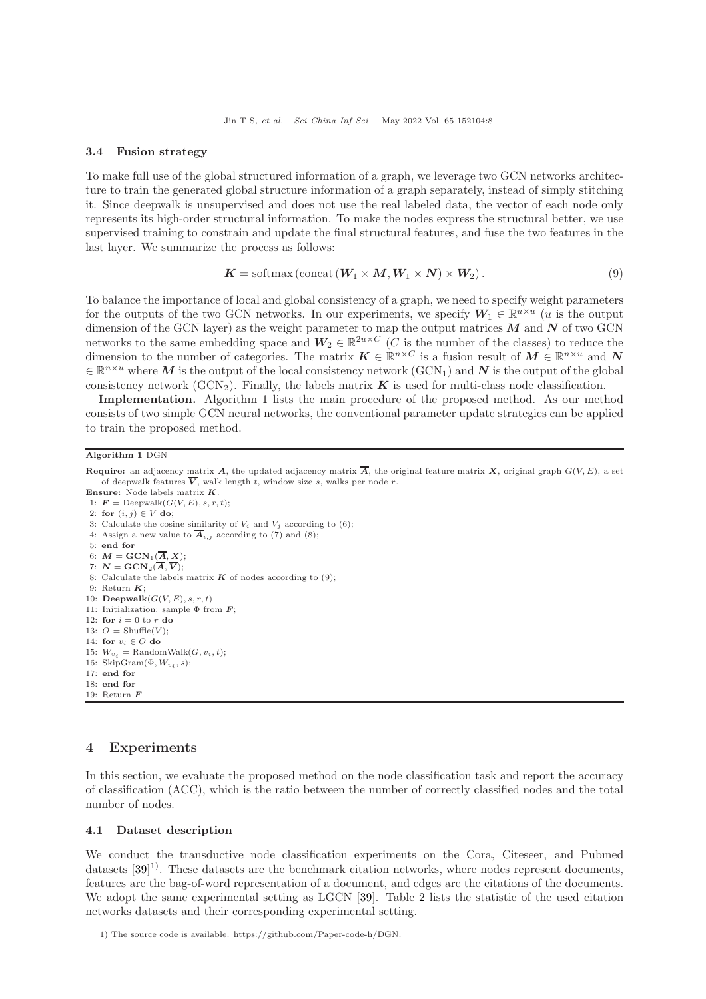#### 3.4 Fusion strategy

To make full use of the global structured information of a graph, we leverage two GCN networks architecture to train the generated global structure information of a graph separately, instead of simply stitching it. Since deepwalk is unsupervised and does not use the real labeled data, the vector of each node only represents its high-order structural information. To make the nodes express the structural better, we use supervised training to constrain and update the final structural features, and fuse the two features in the last layer. We summarize the process as follows:

$$
K = \text{softmax}(\text{concat}(W_1 \times M, W_1 \times N) \times W_2). \tag{9}
$$

To balance the importance of local and global consistency of a graph, we need to specify weight parameters for the outputs of the two GCN networks. In our experiments, we specify  $W_1 \in \mathbb{R}^{u \times u}$  (*u* is the output dimension of the GCN layer) as the weight parameter to map the output matrices  $M$  and  $N$  of two GCN networks to the same embedding space and  $W_2 \in \mathbb{R}^{2u \times C}$  (C is the number of the classes) to reduce the dimension to the number of categories. The matrix  $K \in \mathbb{R}^{n \times C}$  is a fusion result of  $M \in \mathbb{R}^{n \times u}$  and N  $\in \mathbb{R}^{n \times u}$  where M is the output of the local consistency network  $(\text{GCN}_1)$  and N is the output of the global consistency network (GCN<sub>2</sub>). Finally, the labels matrix  $K$  is used for multi-class node classification.

Implementation. Algorithm 1 lists the main procedure of the proposed method. As our method consists of two simple GCN neural networks, the conventional parameter update strategies can be applied to train the proposed method.

#### Algorithm 1 DGN

**Require:** an adjacency matrix  $\vec{A}$ , the updated adjacency matrix  $\vec{A}$ , the original feature matrix  $\vec{X}$ , original graph  $G(V, E)$ , a set of deepwalk features  $\overline{V}$ , walk length t, window size s, walks per node r.

- Ensure: Node labels matrix K. 1:  $\mathbf{F} = \text{Deepwalk}(G(V, E), s, r, t);$
- 2: for  $(i, j) \in V$  do;
- 3: Calculate the cosine similarity of  $V_i$  and  $V_j$  according to (6);
- 4: Assign a new value to  $\overline{A}_{i,j}$  according to (7) and (8);
- 5: end for
- 6:  $M = \text{GCN}_1(\overline{A}, X);$
- 7:  $N = \text{GCN}_2(\overline{A}, \overline{V});$

```
8: Calculate the labels matrix K of nodes according to (9);
```
- 9: Return  $K$ :
- 10: Deepwalk $(G(V, E), s, r, t)$
- 11: Initialization: sample  $\Phi$  from  $\boldsymbol{F}$ ; 12: for  $i = 0$  to r do
- 13:  $O = \text{Shuffle}(V)$ ;
- 14: for  $v_i \in O$  do
- 15:  $W_{v_i}$  = RandomWalk $(G, v_i, t)$ ;
- 16: SkipGram $(\Phi, W_{v_i}, s)$ ;
- 17: end for
- 18: end for 19: Return  $\boldsymbol{F}$

## 4 Experiments

In this section, we evaluate the proposed method on the node classification task and report the accuracy of classification (ACC), which is the ratio between the number of correctly classified nodes and the total number of nodes.

#### 4.1 Dataset description

We conduct the transductive node classification experiments on the Cora, Citeseer, and Pubmed datasets  $[39]$ <sup>1)</sup>. These datasets are the benchmark citation networks, where nodes represent documents, features are the bag-of-word representation of a document, and edges are the citations of the documents. We adopt the same experimental setting as LGCN [\[39\]](#page-14-15). Table [2](#page-8-0) lists the statistic of the used citation networks datasets and their corresponding experimental setting.

<sup>1)</sup> The source code is available. https://github.com/Paper-code-h/DGN.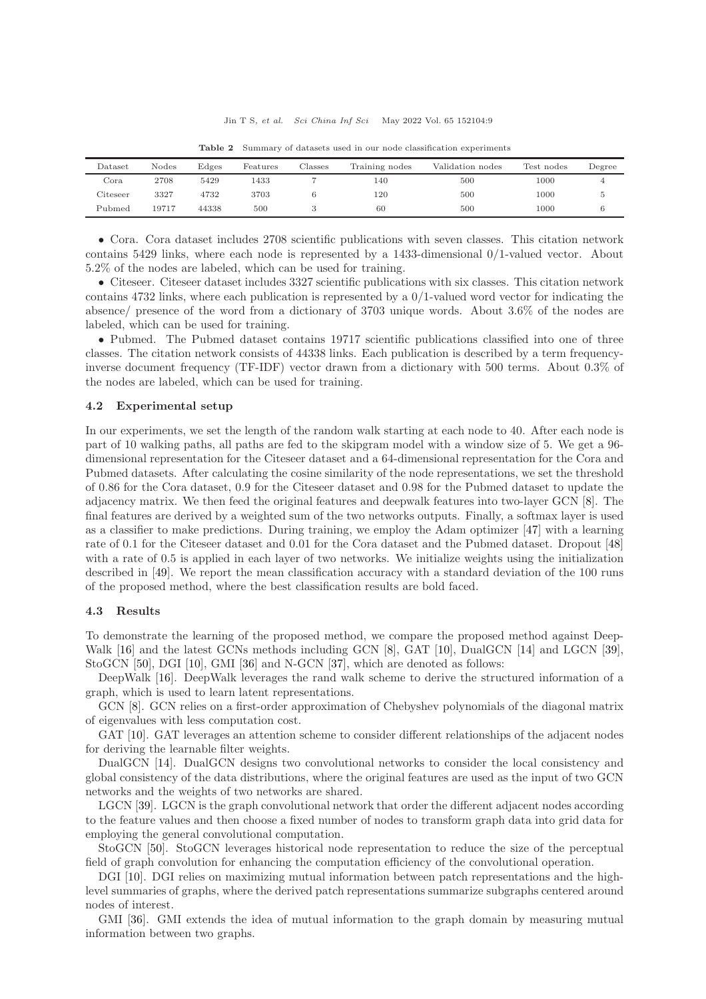<span id="page-8-0"></span>

| Dataset              | Nodes | Edges | Features | Classes | Training nodes | Validation nodes | Test nodes | Degree |
|----------------------|-------|-------|----------|---------|----------------|------------------|------------|--------|
| Cora                 | 2708  | 5429  | 1433     |         | 140            | 500              | 1000       | 4      |
| $\mathrm{C}$ iteseer | 3327  | 4732  | 3703     |         | 120            | 500              | 1000       |        |
| Pubmed               | 19717 | 44338 | 500      |         | 60             | 500              | 1000       |        |

Table 2 Summary of datasets used in our node classification experiments

• Cora. Cora dataset includes 2708 scientific publications with seven classes. This citation network contains 5429 links, where each node is represented by a 1433-dimensional 0/1-valued vector. About 5.2% of the nodes are labeled, which can be used for training.

• Citeseer. Citeseer dataset includes 3327 scientific publications with six classes. This citation network contains 4732 links, where each publication is represented by a 0/1-valued word vector for indicating the absence/ presence of the word from a dictionary of 3703 unique words. About 3.6% of the nodes are labeled, which can be used for training.

• Pubmed. The Pubmed dataset contains 19717 scientific publications classified into one of three classes. The citation network consists of 44338 links. Each publication is described by a term frequencyinverse document frequency (TF-IDF) vector drawn from a dictionary with 500 terms. About 0.3% of the nodes are labeled, which can be used for training.

#### 4.2 Experimental setup

In our experiments, we set the length of the random walk starting at each node to 40. After each node is part of 10 walking paths, all paths are fed to the skipgram model with a window size of 5. We get a 96 dimensional representation for the Citeseer dataset and a 64-dimensional representation for the Cora and Pubmed datasets. After calculating the cosine similarity of the node representations, we set the threshold of 0.86 for the Cora dataset, 0.9 for the Citeseer dataset and 0.98 for the Pubmed dataset to update the adjacency matrix. We then feed the original features and deepwalk features into two-layer GCN [\[8\]](#page-13-7). The final features are derived by a weighted sum of the two networks outputs. Finally, a softmax layer is used as a classifier to make predictions. During training, we employ the Adam optimizer [\[47\]](#page-14-23) with a learning rate of 0.1 for the Citeseer dataset and 0.01 for the Cora dataset and the Pubmed dataset. Dropout [\[48\]](#page-14-24) with a rate of 0.5 is applied in each layer of two networks. We initialize weights using the initialization described in [\[49\]](#page-14-25). We report the mean classification accuracy with a standard deviation of the 100 runs of the proposed method, where the best classification results are bold faced.

#### 4.3 Results

To demonstrate the learning of the proposed method, we compare the proposed method against Deep-Walk [\[16\]](#page-13-15) and the latest GCNs methods including GCN [\[8\]](#page-13-7), GAT [\[10\]](#page-13-9), DualGCN [\[14\]](#page-13-13) and LGCN [\[39\]](#page-14-15), StoGCN [\[50\]](#page-14-26), DGI [\[10\]](#page-13-9), GMI [\[36\]](#page-14-12) and N-GCN [\[37\]](#page-14-13), which are denoted as follows:

DeepWalk [\[16\]](#page-13-15). DeepWalk leverages the rand walk scheme to derive the structured information of a graph, which is used to learn latent representations.

GCN [\[8\]](#page-13-7). GCN relies on a first-order approximation of Chebyshev polynomials of the diagonal matrix of eigenvalues with less computation cost.

GAT [\[10\]](#page-13-9). GAT leverages an attention scheme to consider different relationships of the adjacent nodes for deriving the learnable filter weights.

DualGCN [\[14\]](#page-13-13). DualGCN designs two convolutional networks to consider the local consistency and global consistency of the data distributions, where the original features are used as the input of two GCN networks and the weights of two networks are shared.

LGCN [\[39\]](#page-14-15). LGCN is the graph convolutional network that order the different adjacent nodes according to the feature values and then choose a fixed number of nodes to transform graph data into grid data for employing the general convolutional computation.

StoGCN [\[50\]](#page-14-26). StoGCN leverages historical node representation to reduce the size of the perceptual field of graph convolution for enhancing the computation efficiency of the convolutional operation.

DGI [\[10\]](#page-13-9). DGI relies on maximizing mutual information between patch representations and the highlevel summaries of graphs, where the derived patch representations summarize subgraphs centered around nodes of interest.

GMI [\[36\]](#page-14-12). GMI extends the idea of mutual information to the graph domain by measuring mutual information between two graphs.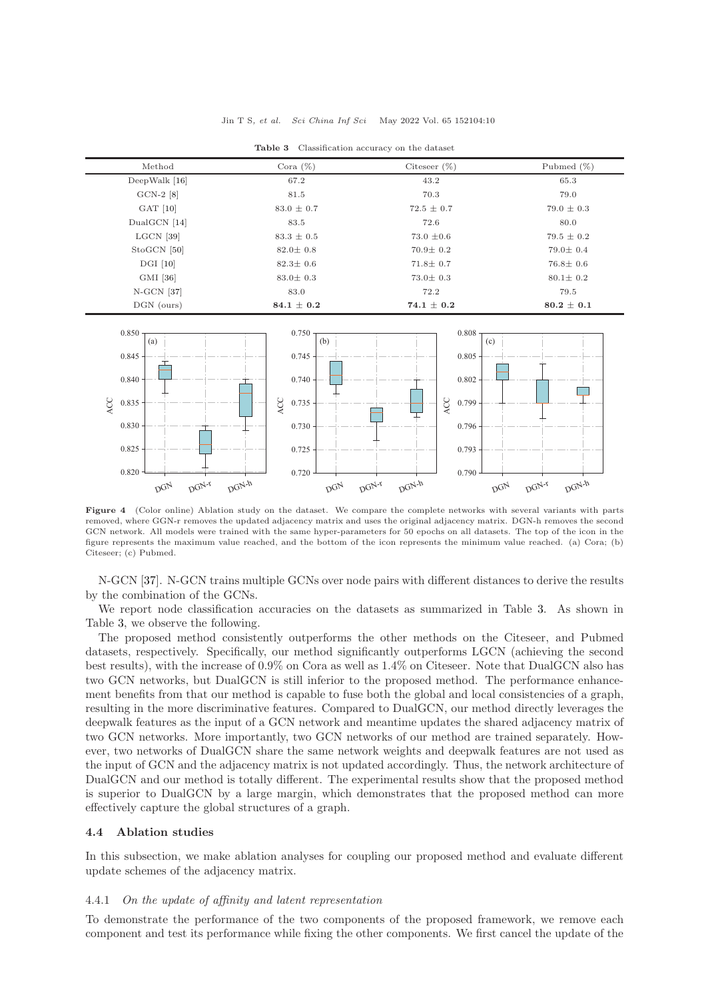| <b>Table 3</b> Classification accuracy on the dataset |  |  |
|-------------------------------------------------------|--|--|
|                                                       |  |  |

<span id="page-9-0"></span>

| Method        | Cora $(\%)$    | Citeseer $(\%)$ | Pubmed $(\%)$  |
|---------------|----------------|-----------------|----------------|
| DeepWalk [16] | 67.2           | 43.2            | 65.3           |
| $GCN-2$ [8]   | 81.5           | 70.3            | 79.0           |
| $GAT$ [10]    | $83.0 \pm 0.7$ | $72.5 \pm 0.7$  | $79.0 \pm 0.3$ |
| DualGCN [14]  | 83.5           | 72.6            | 80.0           |
| $LGCN$ [39]   | $83.3 \pm 0.5$ | $73.0 \pm 0.6$  | $79.5 \pm 0.2$ |
| StoGCN [50]   | $82.0 \pm 0.8$ | $70.9 \pm 0.2$  | $79.0 \pm 0.4$ |
| $DGI$ [10]    | $82.3 \pm 0.6$ | $71.8 \pm 0.7$  | $76.8 \pm 0.6$ |
| GMI [36]      | $83.0 \pm 0.3$ | $73.0 \pm 0.3$  | $80.1 \pm 0.2$ |
| $N-GCN$ [37]  | 83.0           | 72.2            | 79.5           |
| DGN (ours)    | $84.1 \pm 0.2$ | $74.1 \pm 0.2$  | $80.2 \pm 0.1$ |

<span id="page-9-1"></span>

Figure 4 (Color online) Ablation study on the dataset. We compare the complete networks with several variants with parts removed, where GGN-r removes the updated adjacency matrix and uses the original adjacency matrix. DGN-h removes the second GCN network. All models were trained with the same hyper-parameters for 50 epochs on all datasets. The top of the icon in the figure represents the maximum value reached, and the bottom of the icon represents the minimum value reached. (a) Cora; (b) Citeseer; (c) Pubmed.

N-GCN [\[37\]](#page-14-13). N-GCN trains multiple GCNs over node pairs with different distances to derive the results by the combination of the GCNs.

We report node classification accuracies on the datasets as summarized in Table [3.](#page-9-0) As shown in Table [3,](#page-9-0) we observe the following.

The proposed method consistently outperforms the other methods on the Citeseer, and Pubmed datasets, respectively. Specifically, our method significantly outperforms LGCN (achieving the second best results), with the increase of 0.9% on Cora as well as 1.4% on Citeseer. Note that DualGCN also has two GCN networks, but DualGCN is still inferior to the proposed method. The performance enhancement benefits from that our method is capable to fuse both the global and local consistencies of a graph, resulting in the more discriminative features. Compared to DualGCN, our method directly leverages the deepwalk features as the input of a GCN network and meantime updates the shared adjacency matrix of two GCN networks. More importantly, two GCN networks of our method are trained separately. However, two networks of DualGCN share the same network weights and deepwalk features are not used as the input of GCN and the adjacency matrix is not updated accordingly. Thus, the network architecture of DualGCN and our method is totally different. The experimental results show that the proposed method is superior to DualGCN by a large margin, which demonstrates that the proposed method can more effectively capture the global structures of a graph.

#### 4.4 Ablation studies

In this subsection, we make ablation analyses for coupling our proposed method and evaluate different update schemes of the adjacency matrix.

#### 4.4.1 On the update of affinity and latent representation

To demonstrate the performance of the two components of the proposed framework, we remove each component and test its performance while fixing the other components. We first cancel the update of the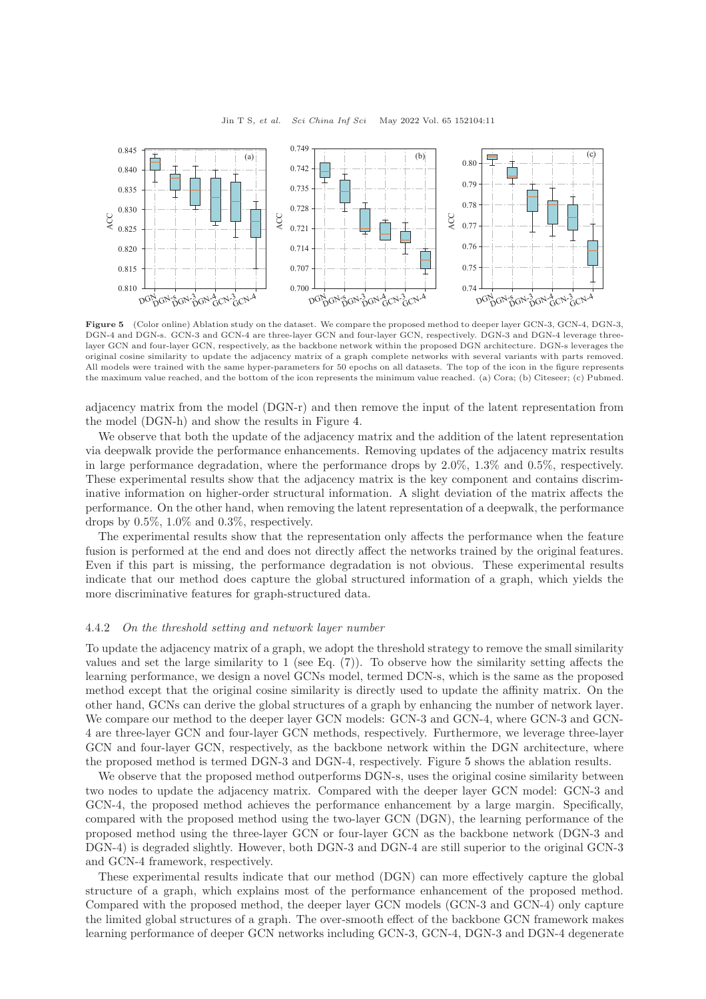<span id="page-10-0"></span>

Figure 5 (Color online) Ablation study on the dataset. We compare the proposed method to deeper layer GCN-3, GCN-4, DGN-3, DGN-4 and DGN-s. GCN-3 and GCN-4 are three-layer GCN and four-layer GCN, respectively. DGN-3 and DGN-4 leverage threelayer GCN and four-layer GCN, respectively, as the backbone network within the proposed DGN architecture. DGN-s leverages the original cosine similarity to update the adjacency matrix of a graph complete networks with several variants with parts removed. All models were trained with the same hyper-parameters for 50 epochs on all datasets. The top of the icon in the figure represents the maximum value reached, and the bottom of the icon represents the minimum value reached. (a) Cora; (b) Citeseer; (c) Pubmed.

adjacency matrix from the model (DGN-r) and then remove the input of the latent representation from the model (DGN-h) and show the results in Figure [4.](#page-9-1)

We observe that both the update of the adjacency matrix and the addition of the latent representation via deepwalk provide the performance enhancements. Removing updates of the adjacency matrix results in large performance degradation, where the performance drops by 2.0%, 1.3% and 0.5%, respectively. These experimental results show that the adjacency matrix is the key component and contains discriminative information on higher-order structural information. A slight deviation of the matrix affects the performance. On the other hand, when removing the latent representation of a deepwalk, the performance drops by 0.5%, 1.0% and 0.3%, respectively.

The experimental results show that the representation only affects the performance when the feature fusion is performed at the end and does not directly affect the networks trained by the original features. Even if this part is missing, the performance degradation is not obvious. These experimental results indicate that our method does capture the global structured information of a graph, which yields the more discriminative features for graph-structured data.

#### 4.4.2 On the threshold setting and network layer number

To update the adjacency matrix of a graph, we adopt the threshold strategy to remove the small similarity values and set the large similarity to  $1$  (see Eq.  $(7)$ ). To observe how the similarity setting affects the learning performance, we design a novel GCNs model, termed DCN-s, which is the same as the proposed method except that the original cosine similarity is directly used to update the affinity matrix. On the other hand, GCNs can derive the global structures of a graph by enhancing the number of network layer. We compare our method to the deeper layer GCN models: GCN-3 and GCN-4, where GCN-3 and GCN-4 are three-layer GCN and four-layer GCN methods, respectively. Furthermore, we leverage three-layer GCN and four-layer GCN, respectively, as the backbone network within the DGN architecture, where the proposed method is termed DGN-3 and DGN-4, respectively. Figure [5](#page-10-0) shows the ablation results.

We observe that the proposed method outperforms DGN-s, uses the original cosine similarity between two nodes to update the adjacency matrix. Compared with the deeper layer GCN model: GCN-3 and GCN-4, the proposed method achieves the performance enhancement by a large margin. Specifically, compared with the proposed method using the two-layer GCN (DGN), the learning performance of the proposed method using the three-layer GCN or four-layer GCN as the backbone network (DGN-3 and DGN-4) is degraded slightly. However, both DGN-3 and DGN-4 are still superior to the original GCN-3 and GCN-4 framework, respectively.

These experimental results indicate that our method (DGN) can more effectively capture the global structure of a graph, which explains most of the performance enhancement of the proposed method. Compared with the proposed method, the deeper layer GCN models (GCN-3 and GCN-4) only capture the limited global structures of a graph. The over-smooth effect of the backbone GCN framework makes learning performance of deeper GCN networks including GCN-3, GCN-4, DGN-3 and DGN-4 degenerate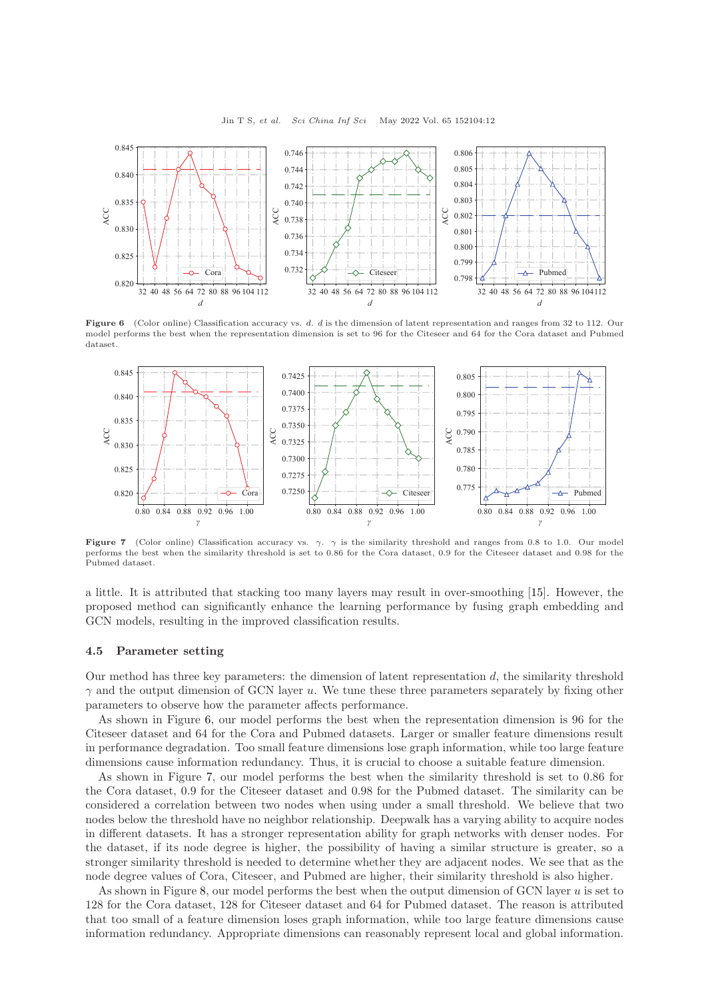<span id="page-11-0"></span>

Figure 6 (Color online) Classification accuracy vs. d. d is the dimension of latent representation and ranges from 32 to 112. Our model performs the best when the representation dimension is set to 96 for the Citeseer and 64 for the Cora dataset and Pubmed dataset.

<span id="page-11-1"></span>

Figure 7 (Color online) Classification accuracy vs.  $\gamma$ .  $\gamma$  is the similarity threshold and ranges from 0.8 to 1.0. Our model performs the best when the similarity threshold is set to 0.86 for the Cora dataset, 0.9 for the Citeseer dataset and 0.98 for the Pubmed dataset.

a little. It is attributed that stacking too many layers may result in over-smoothing [\[15\]](#page-13-14). However, the proposed method can significantly enhance the learning performance by fusing graph embedding and GCN models, resulting in the improved classification results.

#### 4.5 Parameter setting

Our method has three key parameters: the dimension of latent representation d, the similarity threshold  $\gamma$  and the output dimension of GCN layer u. We tune these three parameters separately by fixing other parameters to observe how the parameter affects performance.

As shown in Figure [6,](#page-11-0) our model performs the best when the representation dimension is 96 for the Citeseer dataset and 64 for the Cora and Pubmed datasets. Larger or smaller feature dimensions result in performance degradation. Too small feature dimensions lose graph information, while too large feature dimensions cause information redundancy. Thus, it is crucial to choose a suitable feature dimension.

As shown in Figure [7,](#page-11-1) our model performs the best when the similarity threshold is set to 0.86 for the Cora dataset, 0.9 for the Citeseer dataset and 0.98 for the Pubmed dataset. The similarity can be considered a correlation between two nodes when using under a small threshold. We believe that two nodes below the threshold have no neighbor relationship. Deepwalk has a varying ability to acquire nodes in different datasets. It has a stronger representation ability for graph networks with denser nodes. For the dataset, if its node degree is higher, the possibility of having a similar structure is greater, so a stronger similarity threshold is needed to determine whether they are adjacent nodes. We see that as the node degree values of Cora, Citeseer, and Pubmed are higher, their similarity threshold is also higher.

As shown in Figure [8,](#page-12-0) our model performs the best when the output dimension of GCN layer  $u$  is set to 128 for the Cora dataset, 128 for Citeseer dataset and 64 for Pubmed dataset. The reason is attributed that too small of a feature dimension loses graph information, while too large feature dimensions cause information redundancy. Appropriate dimensions can reasonably represent local and global information.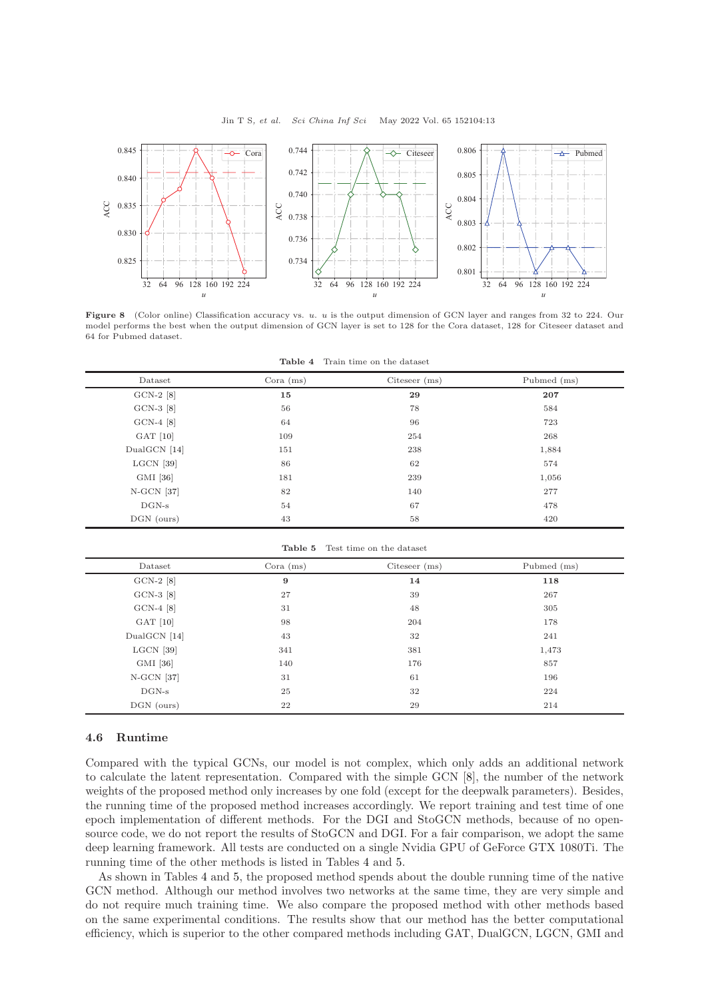<span id="page-12-0"></span>

<span id="page-12-1"></span>Figure 8 (Color online) Classification accuracy vs. u. u is the output dimension of GCN layer and ranges from 32 to 224. Our model performs the best when the output dimension of GCN layer is set to 128 for the Cora dataset, 128 for Citeseer dataset and 64 for Pubmed dataset.

Table 4 Train time on the dataset

| Dataset      | Cora $(ms)$ | $Citeseer$ (ms) | Pubmed (ms) |
|--------------|-------------|-----------------|-------------|
| $GCN-2$ [8]  | 15          | 29              | 207         |
| $GCN-3$ [8]  | 56          | 78              | 584         |
| $GCN-4$ [8]  | 64          | 96              | 723         |
| $GAT$ [10]   | 109         | 254             | 268         |
| DualGCN [14] | 151         | 238             | 1,884       |
| $LGCN$ [39]  | 86          | 62              | 574         |
| GMI [36]     | 181         | 239             | 1,056       |
| N-GCN [37]   | 82          | 140             | 277         |
| $DGN-s$      | 54          | 67              | 478         |
| DGN (ours)   | 43          | 58              | 420         |

Table 5 Test time on the dataset

<span id="page-12-2"></span>

| Dataset      | $Cora$ (ms) | Citeseer $(ms)$ | Pubmed (ms) |
|--------------|-------------|-----------------|-------------|
| $GCN-2$ [8]  | 9           | 14              | 118         |
| $GCN-3$ [8]  | 27          | 39              | 267         |
| $GCN-4$ [8]  | 31          | 48              | 305         |
| $GAT$ [10]   | 98          | 204             | 178         |
| DualGCN [14] | 43          | 32              | 241         |
| $LGCN$ [39]  | 341         | 381             | 1,473       |
| GMI [36]     | 140         | 176             | 857         |
| N-GCN [37]   | 31          | 61              | 196         |
| $DGN-s$      | 25          | 32              | 224         |
| DGN (ours)   | 22          | 29              | 214         |

#### 4.6 Runtime

Compared with the typical GCNs, our model is not complex, which only adds an additional network to calculate the latent representation. Compared with the simple GCN [\[8\]](#page-13-7), the number of the network weights of the proposed method only increases by one fold (except for the deepwalk parameters). Besides, the running time of the proposed method increases accordingly. We report training and test time of one epoch implementation of different methods. For the DGI and StoGCN methods, because of no opensource code, we do not report the results of StoGCN and DGI. For a fair comparison, we adopt the same deep learning framework. All tests are conducted on a single Nvidia GPU of GeForce GTX 1080Ti. The running time of the other methods is listed in Tables [4](#page-12-1) and [5.](#page-12-2)

As shown in Tables [4](#page-12-1) and [5,](#page-12-2) the proposed method spends about the double running time of the native GCN method. Although our method involves two networks at the same time, they are very simple and do not require much training time. We also compare the proposed method with other methods based on the same experimental conditions. The results show that our method has the better computational efficiency, which is superior to the other compared methods including GAT, DualGCN, LGCN, GMI and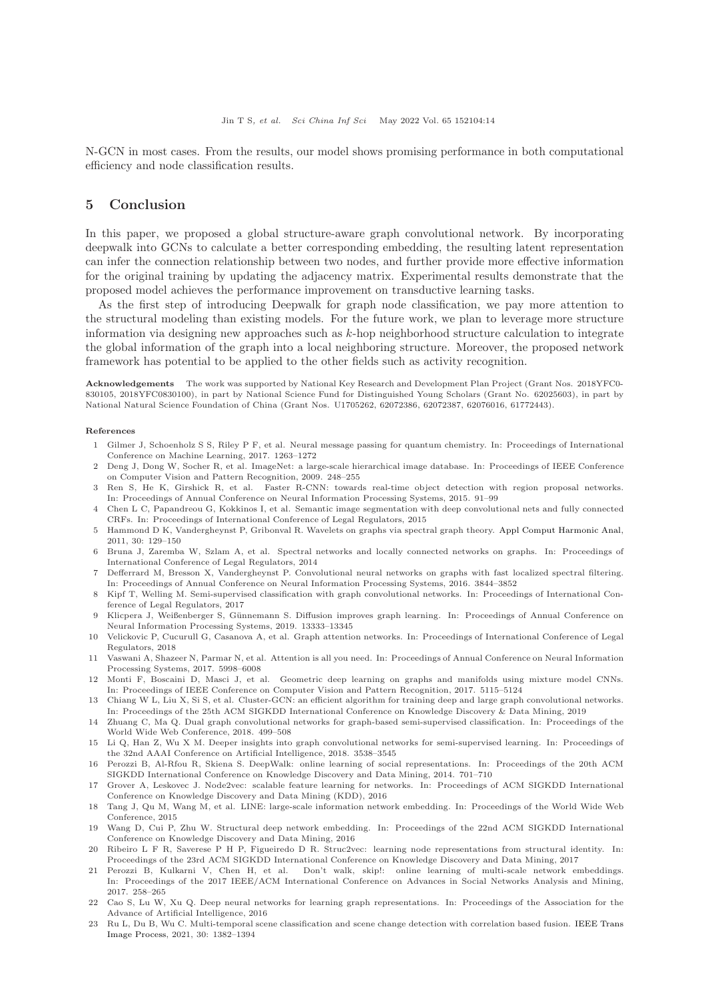N-GCN in most cases. From the results, our model shows promising performance in both computational efficiency and node classification results.

#### 5 Conclusion

In this paper, we proposed a global structure-aware graph convolutional network. By incorporating deepwalk into GCNs to calculate a better corresponding embedding, the resulting latent representation can infer the connection relationship between two nodes, and further provide more effective information for the original training by updating the adjacency matrix. Experimental results demonstrate that the proposed model achieves the performance improvement on transductive learning tasks.

As the first step of introducing Deepwalk for graph node classification, we pay more attention to the structural modeling than existing models. For the future work, we plan to leverage more structure information via designing new approaches such as k-hop neighborhood structure calculation to integrate the global information of the graph into a local neighboring structure. Moreover, the proposed network framework has potential to be applied to the other fields such as activity recognition.

Acknowledgements The work was supported by National Key Research and Development Plan Project (Grant Nos. 2018YFC0- 830105, 2018YFC0830100), in part by National Science Fund for Distinguished Young Scholars (Grant No. 62025603), in part by National Natural Science Foundation of China (Grant Nos. U1705262, 62072386, 62072387, 62076016, 61772443).

#### <span id="page-13-0"></span>References

- 1 Gilmer J, Schoenholz S S, Riley P F, et al. Neural message passing for quantum chemistry. In: Proceedings of International Conference on Machine Learning, 2017. 1263–1272
- <span id="page-13-1"></span>2 Deng J, Dong W, Socher R, et al. ImageNet: a large-scale hierarchical image database. In: Proceedings of IEEE Conference on Computer Vision and Pattern Recognition, 2009. 248–255
- <span id="page-13-2"></span>3 Ren S, He K, Girshick R, et al. Faster R-CNN: towards real-time object detection with region proposal networks. In: Proceedings of Annual Conference on Neural Information Processing Systems, 2015. 91–99
- <span id="page-13-3"></span>4 Chen L C, Papandreou G, Kokkinos I, et al. Semantic image segmentation with deep convolutional nets and fully connected CRFs. In: Proceedings of International Conference of Legal Regulators, 2015
- <span id="page-13-4"></span>5 Hammond D K, Vandergheynst P, Gribonval R. Wavelets on graphs via spectral graph theory. [Appl Comput Harmonic Anal,](https://doi.org/10.1016/j.acha.2010.04.005) 2011, 30: 129–150
- <span id="page-13-5"></span>6 Bruna J, Zaremba W, Szlam A, et al. Spectral networks and locally connected networks on graphs. In: Proceedings of International Conference of Legal Regulators, 2014
- <span id="page-13-6"></span>7 Defferrard M, Bresson X, Vandergheynst P. Convolutional neural networks on graphs with fast localized spectral filtering. In: Proceedings of Annual Conference on Neural Information Processing Systems, 2016. 3844–3852
- <span id="page-13-7"></span>8 Kipf T, Welling M. Semi-supervised classification with graph convolutional networks. In: Proceedings of International Conference of Legal Regulators, 2017
- <span id="page-13-8"></span>9 Klicpera J, Weißenberger S, Günnemann S. Diffusion improves graph learning. In: Proceedings of Annual Conference on Neural Information Processing Systems, 2019. 13333–13345
- <span id="page-13-9"></span>10 Velickovic P, Cucurull G, Casanova A, et al. Graph attention networks. In: Proceedings of International Conference of Legal Regulators, 2018
- <span id="page-13-10"></span>11 Vaswani A, Shazeer N, Parmar N, et al. Attention is all you need. In: Proceedings of Annual Conference on Neural Information Processing Systems, 2017. 5998–6008
- <span id="page-13-11"></span>12 Monti F, Boscaini D, Masci J, et al. Geometric deep learning on graphs and manifolds using mixture model CNNs. In: Proceedings of IEEE Conference on Computer Vision and Pattern Recognition, 2017. 5115–5124
- <span id="page-13-12"></span>13 Chiang W L, Liu X, Si S, et al. Cluster-GCN: an efficient algorithm for training deep and large graph convolutional networks. In: Proceedings of the 25th ACM SIGKDD International Conference on Knowledge Discovery & Data Mining, 2019
- <span id="page-13-13"></span>14 Zhuang C, Ma Q. Dual graph convolutional networks for graph-based semi-supervised classification. In: Proceedings of the World Wide Web Conference, 2018. 499–508
- <span id="page-13-14"></span>15 Li Q, Han Z, Wu X M. Deeper insights into graph convolutional networks for semi-supervised learning. In: Proceedings of the 32nd AAAI Conference on Artificial Intelligence, 2018. 3538–3545
- <span id="page-13-15"></span>16 Perozzi B, Al-Rfou R, Skiena S. DeepWalk: online learning of social representations. In: Proceedings of the 20th ACM SIGKDD International Conference on Knowledge Discovery and Data Mining, 2014. 701–710
- <span id="page-13-16"></span>17 Grover A, Leskovec J. Node2vec: scalable feature learning for networks. In: Proceedings of ACM SIGKDD International Conference on Knowledge Discovery and Data Mining (KDD), 2016
- <span id="page-13-17"></span>18 Tang J, Qu M, Wang M, et al. LINE: large-scale information network embedding. In: Proceedings of the World Wide Web Conference, 2015
- <span id="page-13-18"></span>19 Wang D, Cui P, Zhu W. Structural deep network embedding. In: Proceedings of the 22nd ACM SIGKDD International Conference on Knowledge Discovery and Data Mining, 2016
- <span id="page-13-19"></span>20 Ribeiro L F R, Saverese P H P, Figueiredo D R. Struc2vec: learning node representations from structural identity. In: Proceedings of the 23rd ACM SIGKDD International Conference on Knowledge Discovery and Data Mining, 2017
- <span id="page-13-20"></span>21 Perozzi B, Kulkarni V, Chen H, et al. Don't walk, skip!: online learning of multi-scale network embeddings. In: Proceedings of the 2017 IEEE/ACM International Conference on Advances in Social Networks Analysis and Mining, 2017. 258–265
- <span id="page-13-21"></span>22 Cao S, Lu W, Xu Q. Deep neural networks for learning graph representations. In: Proceedings of the Association for the Advance of Artificial Intelligence, 2016
- <span id="page-13-22"></span>23 Ru L, Du B, Wu C. Multi-temporal scene classification and scene change detection with correlation based fusion. IEEE Trans Image Process, 2021, 30: 1382–1394